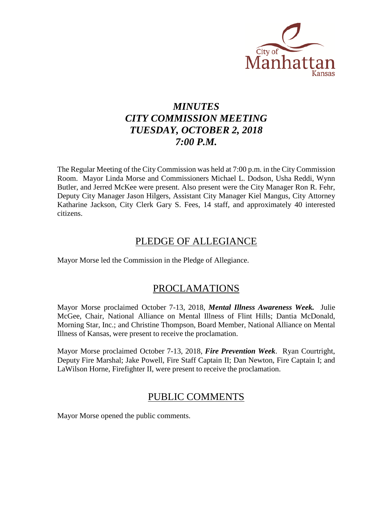

# *MINUTES CITY COMMISSION MEETING TUESDAY, OCTOBER 2, 2018 7:00 P.M.*

The Regular Meeting of the City Commission was held at 7:00 p.m. in the City Commission Room. Mayor Linda Morse and Commissioners Michael L. Dodson, Usha Reddi, Wynn Butler, and Jerred McKee were present. Also present were the City Manager Ron R. Fehr, Deputy City Manager Jason Hilgers, Assistant City Manager Kiel Mangus, City Attorney Katharine Jackson, City Clerk Gary S. Fees, 14 staff, and approximately 40 interested citizens.

### PLEDGE OF ALLEGIANCE

Mayor Morse led the Commission in the Pledge of Allegiance.

### PROCLAMATIONS

Mayor Morse proclaimed October 7-13, 2018, *Mental Illness Awareness Week.* Julie McGee, Chair, National Alliance on Mental Illness of Flint Hills; Dantia McDonald, Morning Star, Inc.; and Christine Thompson, Board Member, National Alliance on Mental Illness of Kansas, were present to receive the proclamation.

Mayor Morse proclaimed October 7-13, 2018, *Fire Prevention Week*. Ryan Courtright, Deputy Fire Marshal; Jake Powell, Fire Staff Captain II; Dan Newton, Fire Captain I; and LaWilson Horne, Firefighter II, were present to receive the proclamation.

### PUBLIC COMMENTS

Mayor Morse opened the public comments.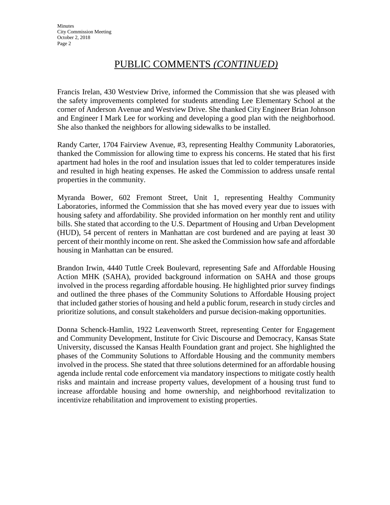# PUBLIC COMMENTS *(CONTINUED)*

Francis Irelan, 430 Westview Drive, informed the Commission that she was pleased with the safety improvements completed for students attending Lee Elementary School at the corner of Anderson Avenue and Westview Drive. She thanked City Engineer Brian Johnson and Engineer I Mark Lee for working and developing a good plan with the neighborhood. She also thanked the neighbors for allowing sidewalks to be installed.

Randy Carter, 1704 Fairview Avenue, #3, representing Healthy Community Laboratories, thanked the Commission for allowing time to express his concerns. He stated that his first apartment had holes in the roof and insulation issues that led to colder temperatures inside and resulted in high heating expenses. He asked the Commission to address unsafe rental properties in the community.

Myranda Bower, 602 Fremont Street, Unit 1, representing Healthy Community Laboratories, informed the Commission that she has moved every year due to issues with housing safety and affordability. She provided information on her monthly rent and utility bills. She stated that according to the U.S. Department of Housing and Urban Development (HUD), 54 percent of renters in Manhattan are cost burdened and are paying at least 30 percent of their monthly income on rent. She asked the Commission how safe and affordable housing in Manhattan can be ensured.

Brandon Irwin, 4440 Tuttle Creek Boulevard, representing Safe and Affordable Housing Action MHK (SAHA), provided background information on SAHA and those groups involved in the process regarding affordable housing. He highlighted prior survey findings and outlined the three phases of the Community Solutions to Affordable Housing project that included gather stories of housing and held a public forum, research in study circles and prioritize solutions, and consult stakeholders and pursue decision-making opportunities.

Donna Schenck-Hamlin, 1922 Leavenworth Street, representing Center for Engagement and Community Development, Institute for Civic Discourse and Democracy, Kansas State University, discussed the Kansas Health Foundation grant and project. She highlighted the phases of the Community Solutions to Affordable Housing and the community members involved in the process. She stated that three solutions determined for an affordable housing agenda include rental code enforcement via mandatory inspections to mitigate costly health risks and maintain and increase property values, development of a housing trust fund to increase affordable housing and home ownership, and neighborhood revitalization to incentivize rehabilitation and improvement to existing properties.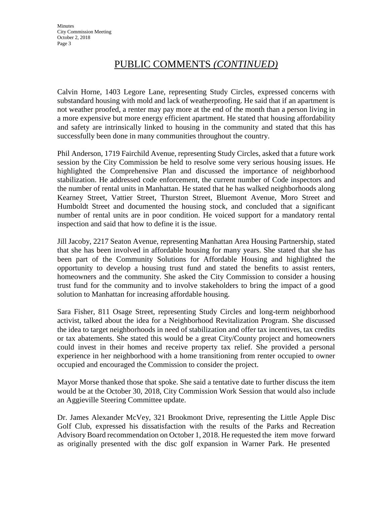# PUBLIC COMMENTS *(CONTINUED)*

Calvin Horne, 1403 Legore Lane, representing Study Circles, expressed concerns with substandard housing with mold and lack of weatherproofing. He said that if an apartment is not weather proofed, a renter may pay more at the end of the month than a person living in a more expensive but more energy efficient apartment. He stated that housing affordability and safety are intrinsically linked to housing in the community and stated that this has successfully been done in many communities throughout the country.

Phil Anderson, 1719 Fairchild Avenue, representing Study Circles, asked that a future work session by the City Commission be held to resolve some very serious housing issues. He highlighted the Comprehensive Plan and discussed the importance of neighborhood stabilization. He addressed code enforcement, the current number of Code inspectors and the number of rental units in Manhattan. He stated that he has walked neighborhoods along Kearney Street, Vattier Street, Thurston Street, Bluemont Avenue, Moro Street and Humboldt Street and documented the housing stock, and concluded that a significant number of rental units are in poor condition. He voiced support for a mandatory rental inspection and said that how to define it is the issue.

Jill Jacoby, 2217 Seaton Avenue, representing Manhattan Area Housing Partnership, stated that she has been involved in affordable housing for many years. She stated that she has been part of the Community Solutions for Affordable Housing and highlighted the opportunity to develop a housing trust fund and stated the benefits to assist renters, homeowners and the community. She asked the City Commission to consider a housing trust fund for the community and to involve stakeholders to bring the impact of a good solution to Manhattan for increasing affordable housing.

Sara Fisher, 811 Osage Street, representing Study Circles and long-term neighborhood activist, talked about the idea for a Neighborhood Revitalization Program. She discussed the idea to target neighborhoods in need of stabilization and offer tax incentives, tax credits or tax abatements. She stated this would be a great City/County project and homeowners could invest in their homes and receive property tax relief. She provided a personal experience in her neighborhood with a home transitioning from renter occupied to owner occupied and encouraged the Commission to consider the project.

Mayor Morse thanked those that spoke. She said a tentative date to further discuss the item would be at the October 30, 2018, City Commission Work Session that would also include an Aggieville Steering Committee update.

Dr. James Alexander McVey, 321 Brookmont Drive, representing the Little Apple Disc Golf Club, expressed his dissatisfaction with the results of the Parks and Recreation Advisory Board recommendation on October 1, 2018. He requested the item move forward as originally presented with the disc golf expansion in Warner Park. He presented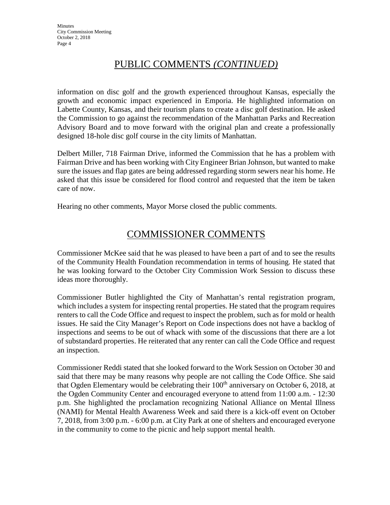# PUBLIC COMMENTS *(CONTINUED)*

information on disc golf and the growth experienced throughout Kansas, especially the growth and economic impact experienced in Emporia. He highlighted information on Labette County, Kansas, and their tourism plans to create a disc golf destination. He asked the Commission to go against the recommendation of the Manhattan Parks and Recreation Advisory Board and to move forward with the original plan and create a professionally designed 18-hole disc golf course in the city limits of Manhattan.

Delbert Miller, 718 Fairman Drive, informed the Commission that he has a problem with Fairman Drive and has been working with City Engineer Brian Johnson, but wanted to make sure the issues and flap gates are being addressed regarding storm sewers near his home. He asked that this issue be considered for flood control and requested that the item be taken care of now.

Hearing no other comments, Mayor Morse closed the public comments.

### COMMISSIONER COMMENTS

Commissioner McKee said that he was pleased to have been a part of and to see the results of the Community Health Foundation recommendation in terms of housing. He stated that he was looking forward to the October City Commission Work Session to discuss these ideas more thoroughly.

Commissioner Butler highlighted the City of Manhattan's rental registration program, which includes a system for inspecting rental properties. He stated that the program requires renters to call the Code Office and request to inspect the problem, such as for mold or health issues. He said the City Manager's Report on Code inspections does not have a backlog of inspections and seems to be out of whack with some of the discussions that there are a lot of substandard properties. He reiterated that any renter can call the Code Office and request an inspection.

Commissioner Reddi stated that she looked forward to the Work Session on October 30 and said that there may be many reasons why people are not calling the Code Office. She said that Ogden Elementary would be celebrating their  $100<sup>th</sup>$  anniversary on October 6, 2018, at the Ogden Community Center and encouraged everyone to attend from 11:00 a.m. - 12:30 p.m. She highlighted the proclamation recognizing National Alliance on Mental Illness (NAMI) for Mental Health Awareness Week and said there is a kick-off event on October 7, 2018, from 3:00 p.m. - 6:00 p.m. at City Park at one of shelters and encouraged everyone in the community to come to the picnic and help support mental health.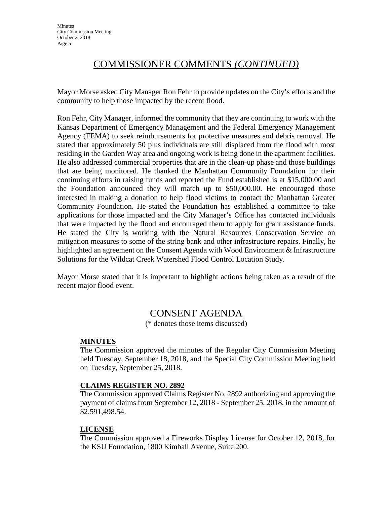# COMMISSIONER COMMENTS *(CONTINUED)*

Mayor Morse asked City Manager Ron Fehr to provide updates on the City's efforts and the community to help those impacted by the recent flood.

Ron Fehr, City Manager, informed the community that they are continuing to work with the Kansas Department of Emergency Management and the Federal Emergency Management Agency (FEMA) to seek reimbursements for protective measures and debris removal. He stated that approximately 50 plus individuals are still displaced from the flood with most residing in the Garden Way area and ongoing work is being done in the apartment facilities. He also addressed commercial properties that are in the clean-up phase and those buildings that are being monitored. He thanked the Manhattan Community Foundation for their continuing efforts in raising funds and reported the Fund established is at \$15,000.00 and the Foundation announced they will match up to \$50,000.00. He encouraged those interested in making a donation to help flood victims to contact the Manhattan Greater Community Foundation. He stated the Foundation has established a committee to take applications for those impacted and the City Manager's Office has contacted individuals that were impacted by the flood and encouraged them to apply for grant assistance funds. He stated the City is working with the Natural Resources Conservation Service on mitigation measures to some of the string bank and other infrastructure repairs. Finally, he highlighted an agreement on the Consent Agenda with Wood Environment & Infrastructure Solutions for the Wildcat Creek Watershed Flood Control Location Study.

Mayor Morse stated that it is important to highlight actions being taken as a result of the recent major flood event.

# CONSENT AGENDA

(\* denotes those items discussed)

#### **MINUTES**

The Commission approved the minutes of the Regular City Commission Meeting held Tuesday, September 18, 2018, and the Special City Commission Meeting held on Tuesday, September 25, 2018.

#### **CLAIMS REGISTER NO. 2892**

The Commission approved Claims Register No. 2892 authorizing and approving the payment of claims from September 12, 2018 - September 25, 2018, in the amount of \$2,591,498.54.

#### **LICENSE**

The Commission approved a Fireworks Display License for October 12, 2018, for the KSU Foundation, 1800 Kimball Avenue, Suite 200.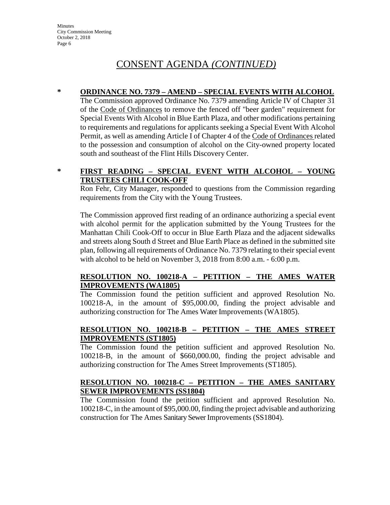**Minutes** City Commission Meeting October 2, 2018 Page 6

# CONSENT AGENDA *(CONTINUED)*

#### **\* ORDINANCE NO. 7379 – AMEND – SPECIAL EVENTS WITH ALCOHOL**

The Commission approved Ordinance No. 7379 amending Article IV of Chapter 31 of the Code of Ordinances to remove the fenced off "beer garden" requirement for Special Events With Alcohol in Blue Earth Plaza, and other modifications pertaining to requirements and regulations for applicants seeking a Special Event With Alcohol Permit, as well as amending Article I of Chapter 4 of the Code of Ordinances related to the possession and consumption of alcohol on the City-owned property located south and southeast of the Flint Hills Discovery Center.

### **\* FIRST READING – SPECIAL EVENT WITH ALCOHOL – YOUNG TRUSTEES CHILI COOK-OFF**

Ron Fehr, City Manager, responded to questions from the Commission regarding requirements from the City with the Young Trustees.

The Commission approved first reading of an ordinance authorizing a special event with alcohol permit for the application submitted by the Young Trustees for the Manhattan Chili Cook-Off to occur in Blue Earth Plaza and the adjacent sidewalks and streets along South d Street and Blue Earth Place as defined in the submitted site plan, following all requirements of Ordinance No. 7379 relating to their special event with alcohol to be held on November 3, 2018 from 8:00 a.m. - 6:00 p.m.

#### **RESOLUTION NO. 100218-A – PETITION – THE AMES WATER IMPROVEMENTS (WA1805)**

The Commission found the petition sufficient and approved Resolution No. 100218-A, in the amount of \$95,000.00, finding the project advisable and authorizing construction for The Ames Water Improvements (WA1805).

#### **RESOLUTION NO. 100218-B – PETITION – THE AMES STREET IMPROVEMENTS (ST1805)**

The Commission found the petition sufficient and approved Resolution No. 100218-B, in the amount of \$660,000.00, finding the project advisable and authorizing construction for The Ames Street Improvements (ST1805).

#### **RESOLUTION NO. 100218-C – PETITION – THE AMES SANITARY SEWER IMPROVEMENTS (SS1804)**

The Commission found the petition sufficient and approved Resolution No. 100218-C, in the amount of \$95,000.00, finding the project advisable and authorizing construction for The Ames Sanitary Sewer Improvements (SS1804).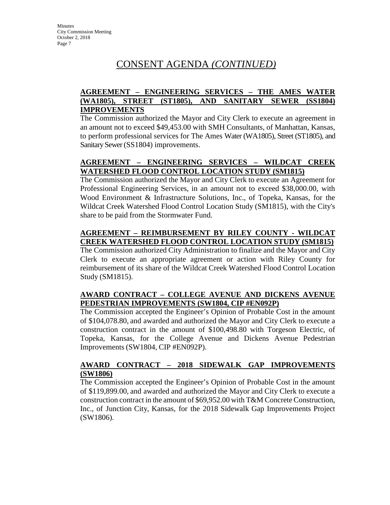# CONSENT AGENDA *(CONTINUED)*

### **AGREEMENT – ENGINEERING SERVICES – THE AMES WATER (WA1805), STREET (ST1805), AND SANITARY SEWER (SS1804) IMPROVEMENTS**

The Commission authorized the Mayor and City Clerk to execute an agreement in an amount not to exceed \$49,453.00 with SMH Consultants, of Manhattan, Kansas, to perform professional services for The Ames Water (WA1805), Street (ST1805), and Sanitary Sewer (SS1804) improvements.

### **AGREEMENT – ENGINEERING SERVICES – WILDCAT CREEK WATERSHED FLOOD CONTROL LOCATION STUDY (SM1815)**

The Commission authorized the Mayor and City Clerk to execute an Agreement for Professional Engineering Services, in an amount not to exceed \$38,000.00, with Wood Environment & Infrastructure Solutions, Inc., of Topeka, Kansas, for the Wildcat Creek Watershed Flood Control Location Study (SM1815), with the City's share to be paid from the Stormwater Fund.

### **AGREEMENT – REIMBURSEMENT BY RILEY COUNTY - WILDCAT CREEK WATERSHED FLOOD CONTROL LOCATION STUDY (SM1815)**

The Commission authorized City Administration to finalize and the Mayor and City Clerk to execute an appropriate agreement or action with Riley County for reimbursement of its share of the Wildcat Creek Watershed Flood Control Location Study (SM1815).

### **AWARD CONTRACT – COLLEGE AVENUE AND DICKENS AVENUE PEDESTRIAN IMPROVEMENTS (SW1804, CIP #EN092P)**

The Commission accepted the Engineer's Opinion of Probable Cost in the amount of \$104,078.80, and awarded and authorized the Mayor and City Clerk to execute a construction contract in the amount of \$100,498.80 with Torgeson Electric, of Topeka, Kansas, for the College Avenue and Dickens Avenue Pedestrian Improvements (SW1804, CIP #EN092P).

### **AWARD CONTRACT – 2018 SIDEWALK GAP IMPROVEMENTS (SW1806)**

The Commission accepted the Engineer's Opinion of Probable Cost in the amount of \$119,899.00, and awarded and authorized the Mayor and City Clerk to execute a construction contract in the amount of \$69,952.00 with T&M Concrete Construction, Inc., of Junction City, Kansas, for the 2018 Sidewalk Gap Improvements Project (SW1806).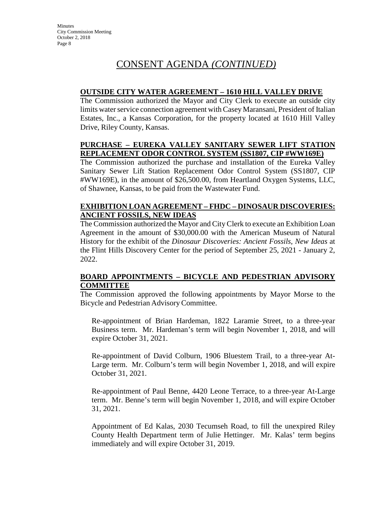# CONSENT AGENDA *(CONTINUED)*

### **OUTSIDE CITY WATER AGREEMENT – 1610 HILL VALLEY DRIVE**

The Commission authorized the Mayor and City Clerk to execute an outside city limits water service connection agreement with Casey Maransani, President of Italian Estates, Inc., a Kansas Corporation, for the property located at 1610 Hill Valley Drive, Riley County, Kansas.

#### **PURCHASE – EUREKA VALLEY SANITARY SEWER LIFT STATION REPLACEMENT ODOR CONTROL SYSTEM (SS1807, CIP #WW169E)**

The Commission authorized the purchase and installation of the Eureka Valley Sanitary Sewer Lift Station Replacement Odor Control System (SS1807, CIP #WW169E), in the amount of \$26,500.00, from Heartland Oxygen Systems, LLC, of Shawnee, Kansas, to be paid from the Wastewater Fund.

#### **EXHIBITION LOAN AGREEMENT – FHDC – DINOSAUR DISCOVERIES: ANCIENT FOSSILS, NEW IDEAS**

The Commission authorized the Mayor and CityClerk to execute an Exhibition Loan Agreement in the amount of \$30,000.00 with the American Museum of Natural History for the exhibit of the *Dinosaur Discoveries: Ancient Fossils, New Ideas* at the Flint Hills Discovery Center for the period of September 25, 2021 - January 2, 2022.

#### **BOARD APPOINTMENTS – BICYCLE AND PEDESTRIAN ADVISORY COMMITTEE**

The Commission approved the following appointments by Mayor Morse to the Bicycle and Pedestrian Advisory Committee.

Re-appointment of Brian Hardeman, 1822 Laramie Street, to a three-year Business term. Mr. Hardeman's term will begin November 1, 2018, and will expire October 31, 2021.

Re-appointment of David Colburn, 1906 Bluestem Trail, to a three-year At-Large term. Mr. Colburn's term will begin November 1, 2018, and will expire October 31, 2021.

Re-appointment of Paul Benne, 4420 Leone Terrace, to a three-year At-Large term. Mr. Benne's term will begin November 1, 2018, and will expire October 31, 2021.

Appointment of Ed Kalas, 2030 Tecumseh Road, to fill the unexpired Riley County Health Department term of Julie Hettinger. Mr. Kalas' term begins immediately and will expire October 31, 2019.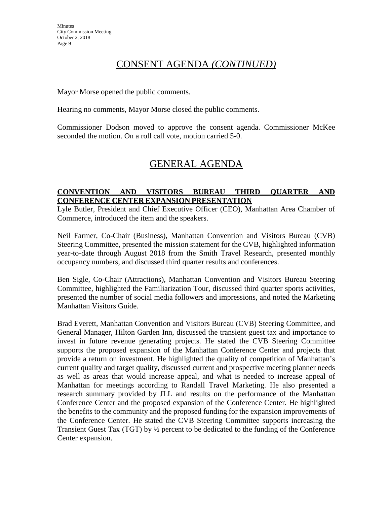### CONSENT AGENDA *(CONTINUED)*

Mayor Morse opened the public comments.

Hearing no comments, Mayor Morse closed the public comments.

Commissioner Dodson moved to approve the consent agenda. Commissioner McKee seconded the motion. On a roll call vote, motion carried 5-0.

### GENERAL AGENDA

### **CONVENTION AND VISITORS BUREAU THIRD QUARTER AND CONFERENCE CENTER EXPANSION PRESENTATION**

Lyle Butler, President and Chief Executive Officer (CEO), Manhattan Area Chamber of Commerce, introduced the item and the speakers.

Neil Farmer, Co-Chair (Business), Manhattan Convention and Visitors Bureau (CVB) Steering Committee, presented the mission statement for the CVB, highlighted information year-to-date through August 2018 from the Smith Travel Research, presented monthly occupancy numbers, and discussed third quarter results and conferences.

Ben Sigle, Co-Chair (Attractions), Manhattan Convention and Visitors Bureau Steering Committee, highlighted the Familiarization Tour, discussed third quarter sports activities, presented the number of social media followers and impressions, and noted the Marketing Manhattan Visitors Guide.

Brad Everett, Manhattan Convention and Visitors Bureau (CVB) Steering Committee, and General Manager, Hilton Garden Inn, discussed the transient guest tax and importance to invest in future revenue generating projects. He stated the CVB Steering Committee supports the proposed expansion of the Manhattan Conference Center and projects that provide a return on investment. He highlighted the quality of competition of Manhattan's current quality and target quality, discussed current and prospective meeting planner needs as well as areas that would increase appeal, and what is needed to increase appeal of Manhattan for meetings according to Randall Travel Marketing. He also presented a research summary provided by JLL and results on the performance of the Manhattan Conference Center and the proposed expansion of the Conference Center. He highlighted the benefits to the community and the proposed funding for the expansion improvements of the Conference Center. He stated the CVB Steering Committee supports increasing the Transient Guest Tax (TGT) by ½ percent to be dedicated to the funding of the Conference Center expansion.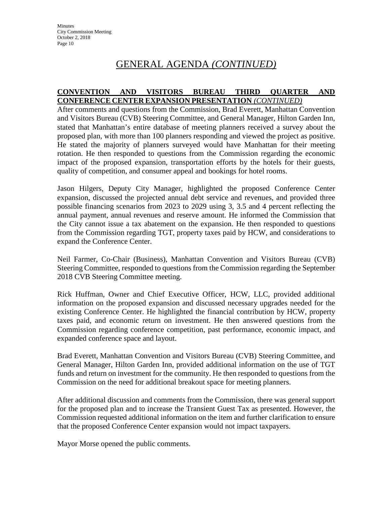### GENERAL AGENDA *(CONTINUED)*

#### **CONVENTION AND VISITORS BUREAU THIRD QUARTER AND CONFERENCE CENTER EXPANSION PRESENTATION** *(CONTINUED)*

After comments and questions from the Commission, Brad Everett, Manhattan Convention and Visitors Bureau (CVB) Steering Committee, and General Manager, Hilton Garden Inn, stated that Manhattan's entire database of meeting planners received a survey about the proposed plan, with more than 100 planners responding and viewed the project as positive. He stated the majority of planners surveyed would have Manhattan for their meeting rotation. He then responded to questions from the Commission regarding the economic impact of the proposed expansion, transportation efforts by the hotels for their guests, quality of competition, and consumer appeal and bookings for hotel rooms.

Jason Hilgers, Deputy City Manager, highlighted the proposed Conference Center expansion, discussed the projected annual debt service and revenues, and provided three possible financing scenarios from 2023 to 2029 using 3, 3.5 and 4 percent reflecting the annual payment, annual revenues and reserve amount. He informed the Commission that the City cannot issue a tax abatement on the expansion. He then responded to questions from the Commission regarding TGT, property taxes paid by HCW, and considerations to expand the Conference Center.

Neil Farmer, Co-Chair (Business), Manhattan Convention and Visitors Bureau (CVB) Steering Committee, responded to questions from the Commission regarding the September 2018 CVB Steering Committee meeting.

Rick Huffman, Owner and Chief Executive Officer, HCW, LLC, provided additional information on the proposed expansion and discussed necessary upgrades needed for the existing Conference Center. He highlighted the financial contribution by HCW, property taxes paid, and economic return on investment. He then answered questions from the Commission regarding conference competition, past performance, economic impact, and expanded conference space and layout.

Brad Everett, Manhattan Convention and Visitors Bureau (CVB) Steering Committee, and General Manager, Hilton Garden Inn, provided additional information on the use of TGT funds and return on investment for the community. He then responded to questions from the Commission on the need for additional breakout space for meeting planners.

After additional discussion and comments from the Commission, there was general support for the proposed plan and to increase the Transient Guest Tax as presented. However, the Commission requested additional information on the item and further clarification to ensure that the proposed Conference Center expansion would not impact taxpayers.

Mayor Morse opened the public comments.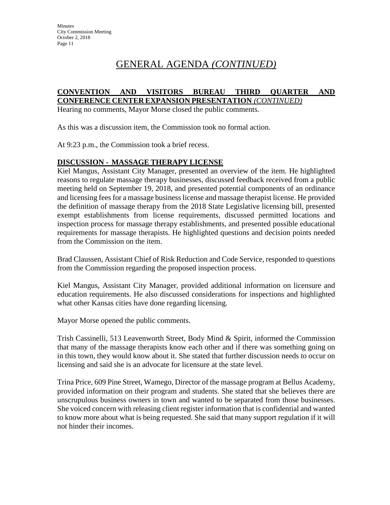# GENERAL AGENDA *(CONTINUED)*

#### **CONVENTION AND VISITORS BUREAU THIRD QUARTER AND CONFERENCE CENTER EXPANSION PRESENTATION** *(CONTINUED)*

Hearing no comments, Mayor Morse closed the public comments.

As this was a discussion item, the Commission took no formal action.

At 9:23 p.m., the Commission took a brief recess.

#### **DISCUSSION - MASSAGE THERAPY LICENSE**

Kiel Mangus, Assistant City Manager, presented an overview of the item. He highlighted reasons to regulate massage therapy businesses, discussed feedback received from a public meeting held on September 19, 2018, and presented potential components of an ordinance and licensing fees for a massage business license and massage therapist license. He provided the definition of massage therapy from the 2018 State Legislative licensing bill, presented exempt establishments from license requirements, discussed permitted locations and inspection process for massage therapy establishments, and presented possible educational requirements for massage therapists. He highlighted questions and decision points needed from the Commission on the item.

Brad Claussen, Assistant Chief of Risk Reduction and Code Service, responded to questions from the Commission regarding the proposed inspection process.

Kiel Mangus, Assistant City Manager, provided additional information on licensure and education requirements. He also discussed considerations for inspections and highlighted what other Kansas cities have done regarding licensing.

Mayor Morse opened the public comments.

Trish Cassinelli, 513 Leavenworth Street, Body Mind & Spirit, informed the Commission that many of the massage therapists know each other and if there was something going on in this town, they would know about it. She stated that further discussion needs to occur on licensing and said she is an advocate for licensure at the state level.

Trina Price, 609 Pine Street, Wamego, Director of the massage program at Bellus Academy, provided information on their program and students. She stated that she believes there are unscrupulous business owners in town and wanted to be separated from those businesses. She voiced concern with releasing client register information that is confidential and wanted to know more about what is being requested. She said that many support regulation if it will not hinder their incomes.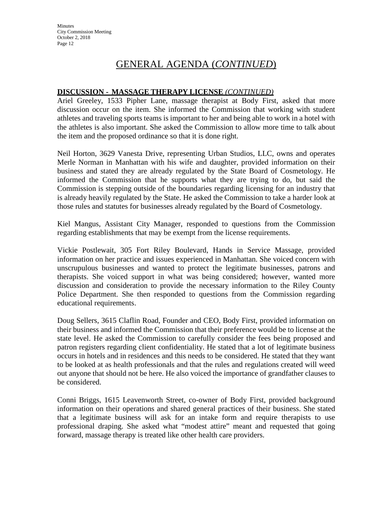# GENERAL AGENDA (*CONTINUED*)

### **DISCUSSION - MASSAGE THERAPY LICENSE** *(CONTINUED)*

Ariel Greeley, 1533 Pipher Lane, massage therapist at Body First, asked that more discussion occur on the item. She informed the Commission that working with student athletes and traveling sports teams is important to her and being able to work in a hotel with the athletes is also important. She asked the Commission to allow more time to talk about the item and the proposed ordinance so that it is done right.

Neil Horton, 3629 Vanesta Drive, representing Urban Studios, LLC, owns and operates Merle Norman in Manhattan with his wife and daughter, provided information on their business and stated they are already regulated by the State Board of Cosmetology. He informed the Commission that he supports what they are trying to do, but said the Commission is stepping outside of the boundaries regarding licensing for an industry that is already heavily regulated by the State. He asked the Commission to take a harder look at those rules and statutes for businesses already regulated by the Board of Cosmetology.

Kiel Mangus, Assistant City Manager, responded to questions from the Commission regarding establishments that may be exempt from the license requirements.

Vickie Postlewait, 305 Fort Riley Boulevard, Hands in Service Massage, provided information on her practice and issues experienced in Manhattan. She voiced concern with unscrupulous businesses and wanted to protect the legitimate businesses, patrons and therapists. She voiced support in what was being considered; however, wanted more discussion and consideration to provide the necessary information to the Riley County Police Department. She then responded to questions from the Commission regarding educational requirements.

Doug Sellers, 3615 Claflin Road, Founder and CEO, Body First, provided information on their business and informed the Commission that their preference would be to license at the state level. He asked the Commission to carefully consider the fees being proposed and patron registers regarding client confidentiality. He stated that a lot of legitimate business occurs in hotels and in residences and this needs to be considered. He stated that they want to be looked at as health professionals and that the rules and regulations created will weed out anyone that should not be here. He also voiced the importance of grandfather clauses to be considered.

Conni Briggs, 1615 Leavenworth Street, co-owner of Body First, provided background information on their operations and shared general practices of their business. She stated that a legitimate business will ask for an intake form and require therapists to use professional draping. She asked what "modest attire" meant and requested that going forward, massage therapy is treated like other health care providers.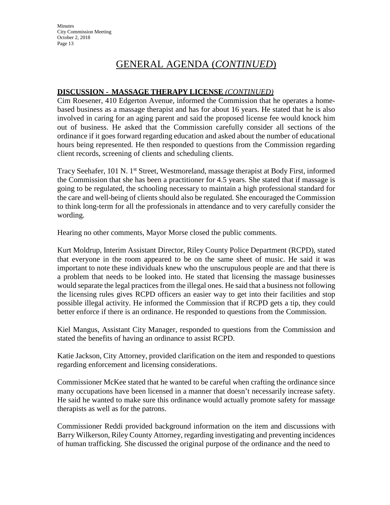**Minutes** City Commission Meeting October 2, 2018 Page 13

# GENERAL AGENDA (*CONTINUED*)

### **DISCUSSION - MASSAGE THERAPY LICENSE** *(CONTINUED)*

Cim Roesener, 410 Edgerton Avenue, informed the Commission that he operates a homebased business as a massage therapist and has for about 16 years. He stated that he is also involved in caring for an aging parent and said the proposed license fee would knock him out of business. He asked that the Commission carefully consider all sections of the ordinance if it goes forward regarding education and asked about the number of educational hours being represented. He then responded to questions from the Commission regarding client records, screening of clients and scheduling clients.

Tracy Seehafer, 101 N. 1<sup>st</sup> Street, Westmoreland, massage therapist at Body First, informed the Commission that she has been a practitioner for 4.5 years. She stated that if massage is going to be regulated, the schooling necessary to maintain a high professional standard for the care and well-being of clients should also be regulated. She encouraged the Commission to think long-term for all the professionals in attendance and to very carefully consider the wording.

Hearing no other comments, Mayor Morse closed the public comments.

Kurt Moldrup, Interim Assistant Director, Riley County Police Department (RCPD), stated that everyone in the room appeared to be on the same sheet of music. He said it was important to note these individuals knew who the unscrupulous people are and that there is a problem that needs to be looked into. He stated that licensing the massage businesses would separate the legal practices from the illegal ones. He said that a business not following the licensing rules gives RCPD officers an easier way to get into their facilities and stop possible illegal activity. He informed the Commission that if RCPD gets a tip, they could better enforce if there is an ordinance. He responded to questions from the Commission.

Kiel Mangus, Assistant City Manager, responded to questions from the Commission and stated the benefits of having an ordinance to assist RCPD.

Katie Jackson, City Attorney, provided clarification on the item and responded to questions regarding enforcement and licensing considerations.

Commissioner McKee stated that he wanted to be careful when crafting the ordinance since many occupations have been licensed in a manner that doesn't necessarily increase safety. He said he wanted to make sure this ordinance would actually promote safety for massage therapists as well as for the patrons.

Commissioner Reddi provided background information on the item and discussions with Barry Wilkerson, Riley County Attorney, regarding investigating and preventing incidences of human trafficking. She discussed the original purpose of the ordinance and the need to